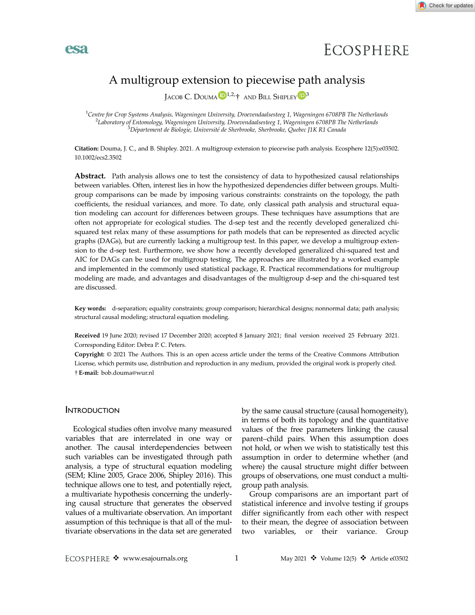

# ECOSPHERE

### A multigroup extension to piecewise path analysis

JACOB C. DOUMA<sup>D<sup>1,2,</sup> AND BILL SHIPLEY<sup>D3</sup></sup>

<sup>1</sup>Centre for Crop Systems Analysis, Wageningen University, Droevendaalsesteeg 1, Wageningen 6708PB The Netherlands<br><sup>2</sup>Laboratory of Entomology Maganingen University, Droevendaalsesteeg 1, Wageningen 6708PB The Netherlands <sup>2</sup>Laboratory of Entomology, Wageningen University, Droevendaalsesteeg 1, Wageningen 6708PB The Netherlands  $^3$ Département de Biologie, Université de Sherbrooke, Sherbrooke, Quebec J1K R1 Canada

Citation: Douma, J. C., and B. Shipley. 2021. A multigroup extension to piecewise path analysis. Ecosphere 12(5):e03502. [10.1002/ecs2.3502](info:doi/10.1002/ecs2.3502)

Abstract. Path analysis allows one to test the consistency of data to hypothesized causal relationships between variables. Often, interest lies in how the hypothesized dependencies differ between groups. Multigroup comparisons can be made by imposing various constraints: constraints on the topology, the path coefficients, the residual variances, and more. To date, only classical path analysis and structural equation modeling can account for differences between groups. These techniques have assumptions that are often not appropriate for ecological studies. The d-sep test and the recently developed generalized chisquared test relax many of these assumptions for path models that can be represented as directed acyclic graphs (DAGs), but are currently lacking a multigroup test. In this paper, we develop a multigroup extension to the d-sep test. Furthermore, we show how a recently developed generalized chi-squared test and AIC for DAGs can be used for multigroup testing. The approaches are illustrated by a worked example and implemented in the commonly used statistical package, R. Practical recommendations for multigroup modeling are made, and advantages and disadvantages of the multigroup d-sep and the chi-squared test are discussed.

Key words: d-separation; equality constraints; group comparison; hierarchical designs; nonnormal data; path analysis; structural causal modeling; structural equation modeling.

Received 19 June 2020; revised 17 December 2020; accepted 8 January 2021; final version received 25 February 2021. Corresponding Editor: Debra P. C. Peters.

Copyright: © 2021 The Authors. This is an open access article under the terms of the [Creative Commons Attribution](http://creativecommons.org/licenses/by/3.0/) License, which permits use, distribution and reproduction in any medium, provided the original work is properly cited. E-mail: bob.douma@wur.nl

#### **INTRODUCTION**

**esa** 

Ecological studies often involve many measured variables that are interrelated in one way or another. The causal interdependencies between such variables can be investigated through path analysis, a type of structural equation modeling (SEM; Kline 2005, Grace 2006, Shipley 2016). This technique allows one to test, and potentially reject, a multivariate hypothesis concerning the underlying causal structure that generates the observed values of a multivariate observation. An important assumption of this technique is that all of the multivariate observations in the data set are generated by the same causal structure (causal homogeneity), in terms of both its topology and the quantitative values of the free parameters linking the causal parent–child pairs. When this assumption does not hold, or when we wish to statistically test this assumption in order to determine whether (and where) the causal structure might differ between groups of observations, one must conduct a multigroup path analysis.

Group comparisons are an important part of statistical inference and involve testing if groups differ significantly from each other with respect to their mean, the degree of association between two variables, or their variance. Group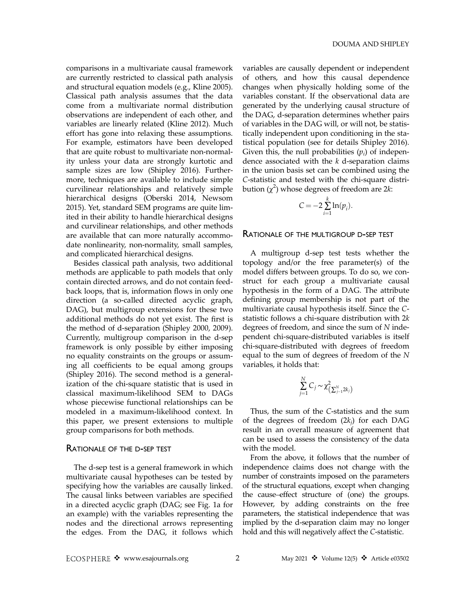comparisons in a multivariate causal framework are currently restricted to classical path analysis and structural equation models (e.g., Kline 2005). Classical path analysis assumes that the data come from a multivariate normal distribution observations are independent of each other, and variables are linearly related (Kline 2012). Much effort has gone into relaxing these assumptions. For example, estimators have been developed that are quite robust to multivariate non-normality unless your data are strongly kurtotic and sample sizes are low (Shipley 2016). Furthermore, techniques are available to include simple curvilinear relationships and relatively simple hierarchical designs (Oberski 2014, Newsom 2015). Yet, standard SEM programs are quite limited in their ability to handle hierarchical designs and curvilinear relationships, and other methods are available that can more naturally accommodate nonlinearity, non-normality, small samples, and complicated hierarchical designs.

Besides classical path analysis, two additional methods are applicable to path models that only contain directed arrows, and do not contain feedback loops, that is, information flows in only one direction (a so-called directed acyclic graph, DAG), but multigroup extensions for these two additional methods do not yet exist. The first is the method of d-separation (Shipley 2000, 2009). Currently, multigroup comparison in the d-sep framework is only possible by either imposing no equality constraints on the groups or assuming all coefficients to be equal among groups (Shipley 2016). The second method is a generalization of the chi-square statistic that is used in classical maximum-likelihood SEM to DAGs whose piecewise functional relationships can be modeled in a maximum-likelihood context. In this paper, we present extensions to multiple group comparisons for both methods.

#### RATIONALE OF THE D-SEP TEST

The d-sep test is a general framework in which multivariate causal hypotheses can be tested by specifying how the variables are causally linked. The causal links between variables are specified in a directed acyclic graph (DAG; see Fig. 1a for an example) with the variables representing the nodes and the directional arrows representing the edges. From the DAG, it follows which

variables are causally dependent or independent of others, and how this causal dependence changes when physically holding some of the variables constant. If the observational data are generated by the underlying causal structure of the DAG, d-separation determines whether pairs of variables in the DAG will, or will not, be statistically independent upon conditioning in the statistical population (see for details Shipley 2016). Given this, the null probabilities  $(p_i)$  of independence associated with the  $k$  d-separation claims in the union basis set can be combined using the C-statistic and tested with the chi-square distribution  $(\chi^2)$  whose degrees of freedom are 2k:

$$
C = -2 \sum_{i=1}^{k} \ln(p_i).
$$

#### RATIONALE OF THE MULTIGROUP D-SEP TEST

A multigroup d-sep test tests whether the topology and/or the free parameter(s) of the model differs between groups. To do so, we construct for each group a multivariate causal hypothesis in the form of a DAG. The attribute defining group membership is not part of the multivariate causal hypothesis itself. Since the Cstatistic follows a chi-square distribution with 2k degrees of freedom, and since the sum of N independent chi-square-distributed variables is itself chi-square-distributed with degrees of freedom equal to the sum of degrees of freedom of the N variables, it holds that:

$$
\sum_{j=1}^N C_j \sim \chi_{\left(\sum_{j-1}^N 2k_j\right)}^2
$$

Thus, the sum of the C-statistics and the sum of the degrees of freedom  $(2k<sub>i</sub>)$  for each DAG result in an overall measure of agreement that can be used to assess the consistency of the data with the model.

From the above, it follows that the number of independence claims does not change with the number of constraints imposed on the parameters of the structural equations, except when changing the cause–effect structure of (one) the groups. However, by adding constraints on the free parameters, the statistical independence that was implied by the d-separation claim may no longer hold and this will negatively affect the C-statistic.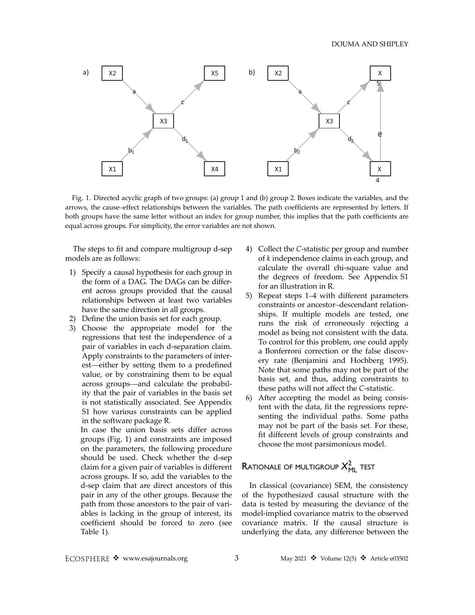

Fig. 1. Directed acyclic graph of two groups: (a) group 1 and (b) group 2. Boxes indicate the variables, and the arrows, the cause–effect relationships between the variables. The path coefficients are represented by letters. If both groups have the same letter without an index for group number, this implies that the path coefficients are equal across groups. For simplicity, the error variables are not shown.

The steps to fit and compare multigroup d-sep models are as follows:

- 1) Specify a causal hypothesis for each group in the form of a DAG. The DAGs can be different across groups provided that the causal relationships between at least two variables have the same direction in all groups.
- 2) Define the union basis set for each group.
- 3) Choose the appropriate model for the regressions that test the independence of a pair of variables in each d-separation claim. Apply constraints to the parameters of interest—either by setting them to a predefined value, or by constraining them to be equal across groups—and calculate the probability that the pair of variables in the basis set is not statistically associated. See Appendix S1 how various constraints can be applied in the software package R.

In case the union basis sets differ across groups (Fig. 1) and constraints are imposed on the parameters, the following procedure should be used. Check whether the d-sep claim for a given pair of variables is different across groups. If so, add the variables to the d-sep claim that are direct ancestors of this pair in any of the other groups. Because the path from those ancestors to the pair of variables is lacking in the group of interest, its coefficient should be forced to zero (see Table 1).

- 4) Collect the C-statistic per group and number of k independence claims in each group, and calculate the overall chi-square value and the degrees of freedom. See Appendix S1 for an illustration in R.
- 5) Repeat steps 1–4 with different parameters constraints or ancestor–descendant relationships. If multiple models are tested, one runs the risk of erroneously rejecting a model as being not consistent with the data. To control for this problem, one could apply a Bonferroni correction or the false discovery rate (Benjamini and Hochberg 1995). Note that some paths may not be part of the basis set, and thus, adding constraints to these paths will not affect the C-statistic.
- 6) After accepting the model as being consistent with the data, fit the regressions representing the individual paths. Some paths may not be part of the basis set. For these, fit different levels of group constraints and choose the most parsimonious model.

## $R$ ationale of multigroup  $X_{\rm ML}^2$  test

In classical (covariance) SEM, the consistency of the hypothesized causal structure with the data is tested by measuring the deviance of the model-implied covariance matrix to the observed covariance matrix. If the causal structure is underlying the data, any difference between the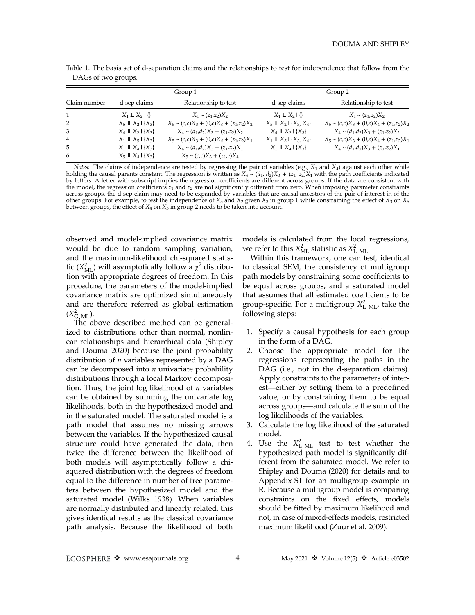|                |                                          | Group 1                                       | Group 2                                      |                                                |  |  |  |
|----------------|------------------------------------------|-----------------------------------------------|----------------------------------------------|------------------------------------------------|--|--|--|
| Claim number   | d-sep claims                             | Relationship to test                          | d-sep claims                                 | Relationship to test                           |  |  |  |
| $\mathbf{1}$   | $X_1 \perp\!\!\!\perp X_2 \perp \{\}\$   | $X_1 \sim (z_1, z_2) X_2$                     | $X_1 \perp\!\!\!\perp X_2 \perp \{\}$        | $X_1 \sim (z_1, z_2) X_2$                      |  |  |  |
| 2              | $X_5 \perp\!\!\!\perp X_2   \{X_3\}$     | $X_5 \sim (c,c)X_3 + (0,e)X_4 + (z_1,z_2)X_2$ | $X_5 \perp\!\!\!\perp X_2   \{X_3, X_4\}$    | $X_5 \sim (c,c)X_3 + (0,e)X_4 + (z_1,z_2)X_2$  |  |  |  |
| 3              | $X_4 \perp\!\!\!\perp X_2   \{X_3\}$     | $X_4 \sim (d_1, d_2)X_3 + (z_1, z_2)X_2$      | $X_4 \perp\!\!\!\perp X_2 \perp \{X_3\}$     | $X_4 \sim (d_1, d_2)X_3 + (z_1, z_2)X_2$       |  |  |  |
| $\overline{4}$ | $X_1 \perp\!\!\!\perp X_5   \{X_3\}$     | $X_5 \sim (c,c)X_3 + (0,e)X_4 + (z_1,z_2)X_1$ | $X_1 \perp\!\!\!\perp X_5 \mid \{X_3, X_4\}$ | $X_5 \sim (c,c)X_3 + (0,e)X_4 + (z_1, z_2)X_1$ |  |  |  |
| .5             | $X_1 \perp\!\!\!\perp X_4 \perp \{X_3\}$ | $X_4 \sim (d_1, d_2)X_3 + (z_1, z_2)X_1$      | $X_1 \perp\!\!\!\perp X_4 \mid \{X_3\}$      | $X_4 \sim (d_1, d_2)X_3 + (z_1, z_2)X_1$       |  |  |  |
| 6              | $X_5 \perp\!\!\!\perp X_4 \mid \{X_3\}$  | $X_5 \sim (c,c)X_3 + (z_1,e)X_4$              |                                              |                                                |  |  |  |

Table 1. The basis set of d-separation claims and the relationships to test for independence that follow from the DAGs of two groups.

*Notes:* The claims of independence are tested by regressing the pair of variables (e.g.,  $X_1$  and  $X_4$ ) against each other while holding the causal parents constant. The regression is written as  $X_4 \sim (d_1, d_2)X_3 + (z_1$ the model, the regression coefficients  $z_1$  and  $z_2$  are not significantly different from zero. When imposing parameter constraints across groups, the d-sep claim may need to be expanded by variables that are causal anc other groups. For example, to test the independence of  $X_5$  and  $X_2$  given  $X_3$  in group 1 while constraining the effect of  $X_3$  on  $X_5$ between groups, the effect of  $X_4$  on  $X_5$  in group 2 needs to be taken into account.

observed and model-implied covariance matrix would be due to random sampling variation, and the maximum-likelihood chi-squared statistic ( $X_{\text{ML}}^2$ ) will asymptotically follow a  $\chi^2$  distribution with appropriate degrees of freedom. In this procedure, the parameters of the model-implied covariance matrix are optimized simultaneously and are therefore referred as global estimation  $(X_{\rm G~ML}^2)$ .

The above described method can be generalized to distributions other than normal, nonlinear relationships and hierarchical data (Shipley and Douma 2020) because the joint probability distribution of *n* variables represented by a DAG can be decomposed into  $n$  univariate probability distributions through a local Markov decomposition. Thus, the joint log likelihood of  $n$  variables can be obtained by summing the univariate log likelihoods, both in the hypothesized model and in the saturated model. The saturated model is a path model that assumes no missing arrows between the variables. If the hypothesized causal structure could have generated the data, then twice the difference between the likelihood of both models will asymptotically follow a chisquared distribution with the degrees of freedom equal to the difference in number of free parameters between the hypothesized model and the saturated model (Wilks 1938). When variables are normally distributed and linearly related, this gives identical results as the classical covariance path analysis. Because the likelihood of both models is calculated from the local regressions, we refer to this  $X_{\text{ML}}^2$  statistic as  $X_{\text{L}}^2$  <sub>ML</sub>

Within this framework, one can test, identical to classical SEM, the consistency of multigroup path models by constraining some coefficients to be equal across groups, and a saturated model that assumes that all estimated coefficients to be group-specific. For a multigroup  $X_{\text{L ML}}^2$ , take the following steps:

- 1. Specify a causal hypothesis for each group in the form of a DAG.
- 2. Choose the appropriate model for the regressions representing the paths in the DAG (i.e., not in the d-separation claims). Apply constraints to the parameters of interest—either by setting them to a predefined value, or by constraining them to be equal across groups—and calculate the sum of the log likelihoods of the variables.
- 3. Calculate the log likelihood of the saturated model.
- 4. Use the  $X_{\text{LML}}^2$  test to test whether the hypothesized path model is significantly different from the saturated model. We refer to Shipley and Douma (2020) for details and to Appendix S1 for an multigroup example in R. Because a multigroup model is comparing constraints on the fixed effects, models should be fitted by maximum likelihood and not, in case of mixed-effects models, restricted maximum likelihood (Zuur et al. 2009).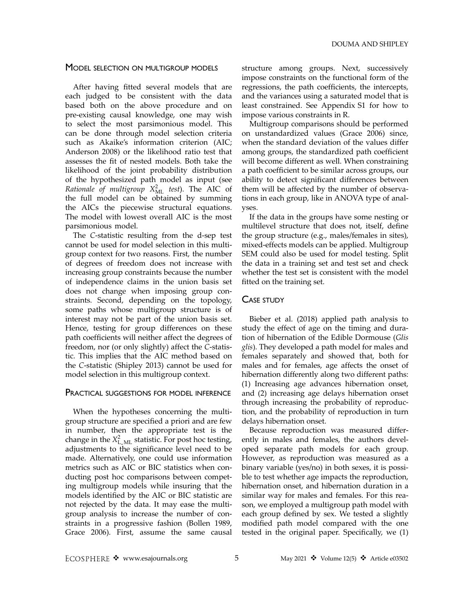#### MODEL SELECTION ON MULTIGROUP MODELS

After having fitted several models that are each judged to be consistent with the data based both on the above procedure and on pre-existing causal knowledge, one may wish to select the most parsimonious model. This can be done through model selection criteria such as Akaike's information criterion (AIC; Anderson 2008) or the likelihood ratio test that assesses the fit of nested models. Both take the likelihood of the joint probability distribution of the hypothesized path model as input (see *Rationale of multigroup*  $X_{ML}^2$  *test*). The AIC of the full model can be obtained by summing the AICs the piecewise structural equations. The model with lowest overall AIC is the most parsimonious model.

The C-statistic resulting from the d-sep test cannot be used for model selection in this multigroup context for two reasons. First, the number of degrees of freedom does not increase with increasing group constraints because the number of independence claims in the union basis set does not change when imposing group constraints. Second, depending on the topology, some paths whose multigroup structure is of interest may not be part of the union basis set. Hence, testing for group differences on these path coefficients will neither affect the degrees of freedom, nor (or only slightly) affect the C-statistic. This implies that the AIC method based on the C-statistic (Shipley 2013) cannot be used for model selection in this multigroup context.

#### PRACTICAL SUGGESTIONS FOR MODEL INFERENCE

When the hypotheses concerning the multigroup structure are specified a priori and are few in number, then the appropriate test is the change in the  $X_{\text{L} \text{ ML}}^2$  statistic. For post hoc testing, adjustments to the significance level need to be made. Alternatively, one could use information metrics such as AIC or BIC statistics when conducting post hoc comparisons between competing multigroup models while insuring that the models identified by the AIC or BIC statistic are not rejected by the data. It may ease the multigroup analysis to increase the number of constraints in a progressive fashion (Bollen 1989, Grace 2006). First, assume the same causal

structure among groups. Next, successively impose constraints on the functional form of the regressions, the path coefficients, the intercepts, and the variances using a saturated model that is least constrained. See Appendix S1 for how to impose various constraints in R.

Multigroup comparisons should be performed on unstandardized values (Grace 2006) since, when the standard deviation of the values differ among groups, the standardized path coefficient will become different as well. When constraining a path coefficient to be similar across groups, our ability to detect significant differences between them will be affected by the number of observations in each group, like in ANOVA type of analyses.

If the data in the groups have some nesting or multilevel structure that does not, itself, define the group structure (e.g., males/females in sites), mixed-effects models can be applied. Multigroup SEM could also be used for model testing. Split the data in a training set and test set and check whether the test set is consistent with the model fitted on the training set.

#### CASE STUDY

Bieber et al. (2018) applied path analysis to study the effect of age on the timing and duration of hibernation of the Edible Dormouse (Glis glis). They developed a path model for males and females separately and showed that, both for males and for females, age affects the onset of hibernation differently along two different paths: (1) Increasing age advances hibernation onset, and (2) increasing age delays hibernation onset through increasing the probability of reproduction, and the probability of reproduction in turn delays hibernation onset.

Because reproduction was measured differently in males and females, the authors developed separate path models for each group. However, as reproduction was measured as a binary variable (yes/no) in both sexes, it is possible to test whether age impacts the reproduction, hibernation onset, and hibernation duration in a similar way for males and females. For this reason, we employed a multigroup path model with each group defined by sex. We tested a slightly modified path model compared with the one tested in the original paper. Specifically, we (1)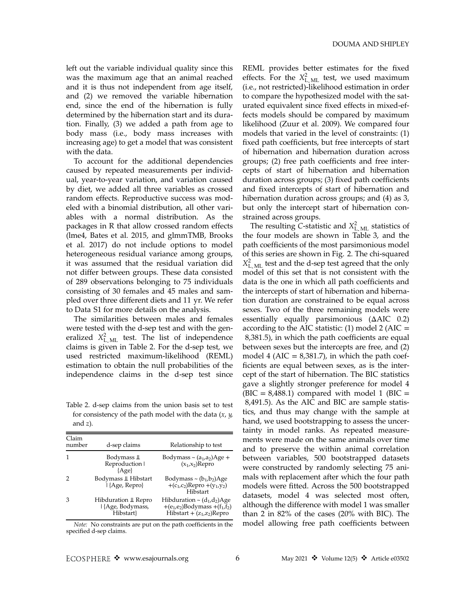left out the variable individual quality since this was the maximum age that an animal reached and it is thus not independent from age itself, and (2) we removed the variable hibernation end, since the end of the hibernation is fully determined by the hibernation start and its duration. Finally, (3) we added a path from age to body mass (i.e., body mass increases with increasing age) to get a model that was consistent with the data.

To account for the additional dependencies caused by repeated measurements per individual, year-to-year variation, and variation caused by diet, we added all three variables as crossed random effects. Reproductive success was modeled with a binomial distribution, all other variables with a normal distribution. As the packages in R that allow crossed random effects (lme4, Bates et al. 2015, and glmmTMB, Brooks et al. 2017) do not include options to model heterogeneous residual variance among groups, it was assumed that the residual variation did not differ between groups. These data consisted of 289 observations belonging to 75 individuals consisting of 30 females and 45 males and sampled over three different diets and 11 yr. We refer to Data S1 for more details on the analysis.

The similarities between males and females were tested with the d-sep test and with the generalized  $X_{\text{L} \text{ ML}}^2$  test. The list of independence claims is given in Table 2. For the d-sep test, we used restricted maximum-likelihood (REML) estimation to obtain the null probabilities of the independence claims in the d-sep test since

Table 2. d-sep claims from the union basis set to test for consistency of the path model with the data  $(x, y)$ , and z).

| Claim<br>number | d-sep claims                                          | Relationship to test                                                                                                                      |
|-----------------|-------------------------------------------------------|-------------------------------------------------------------------------------------------------------------------------------------------|
|                 | Bodymass ‼<br>Reproduction I<br>[Age]                 | Bodymass $\sim$ (a <sub>1</sub> ,a <sub>2</sub> )Age +<br>$(x_1,x_2)$ Repro                                                               |
|                 | Bodymass ‼ Hibstart<br>HAge, Repro                    | Bodymass ~ $(b_1, b_2)$ Age<br>+(c <sub>1</sub> ,c <sub>2</sub> )Repro +(y <sub>1</sub> ,y <sub>2</sub> )<br>Hibstart                     |
| З               | Hibduration ⊥ Repro<br>  {Age, Bodymass,<br>Hibstart} | Hibduration $\sim$ (d <sub>1</sub> ,d <sub>2</sub> )Age<br>+( $e_1$ , $e_2$ )Bodymass +( $f_1$ , $f_2$ )<br>Hibstart + $(z_1, z_2)$ Repro |

Note: No constraints are put on the path coefficients in the specified d-sep claims.

REML provides better estimates for the fixed effects. For the  $X_{\text{L} \text{ ML}}^2$  test, we used maximum (i.e., not restricted)-likelihood estimation in order to compare the hypothesized model with the saturated equivalent since fixed effects in mixed-effects models should be compared by maximum likelihood (Zuur et al. 2009). We compared four models that varied in the level of constraints: (1) fixed path coefficients, but free intercepts of start of hibernation and hibernation duration across groups; (2) free path coefficients and free intercepts of start of hibernation and hibernation duration across groups; (3) fixed path coefficients and fixed intercepts of start of hibernation and hibernation duration across groups; and (4) as 3, but only the intercept start of hibernation constrained across groups.

The resulting C-statistic and  $X_{\text{L}}^2$  ML statistics of the four models are shown in Table 3, and the path coefficients of the most parsimonious model of this series are shown in Fig. 2. The chi-squared  $X_{\text{L}}^2$  ML test and the d-sep test agreed that the only model of this set that is not consistent with the data is the one in which all path coefficients and the intercepts of start of hibernation and hibernation duration are constrained to be equal across sexes. Two of the three remaining models were essentially equally parsimonious (ΔAIC 0.2) according to the AIC statistic:  $(1)$  model 2  $(AIC =$ 8,381.5), in which the path coefficients are equal between sexes but the intercepts are free, and (2) model 4 (AIC =  $8,381.7$ ), in which the path coefficients are equal between sexes, as is the intercept of the start of hibernation. The BIC statistics gave a slightly stronger preference for model 4  $(BIC = 8,488.1)$  compared with model 1 (BIC = 8,491.5). As the AIC and BIC are sample statistics, and thus may change with the sample at hand, we used bootstrapping to assess the uncertainty in model ranks. As repeated measurements were made on the same animals over time and to preserve the within animal correlation between variables, 500 bootstrapped datasets were constructed by randomly selecting 75 animals with replacement after which the four path models were fitted. Across the 500 bootstrapped datasets, model 4 was selected most often, although the difference with model 1 was smaller than 2 in 82% of the cases (20% with BIC). The model allowing free path coefficients between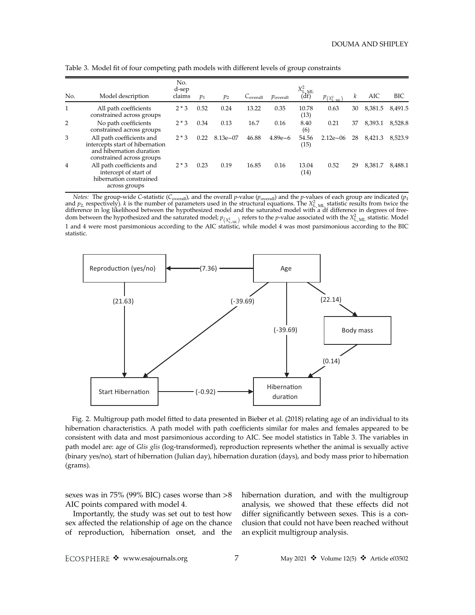| No.            | Model description                                                                                                     | No.<br>d-sep<br>claims | $p_1$ | p <sub>2</sub> | C <sub>overall</sub> | $p_{\text{overall}}$ | $X_{\text{L}}^2$ <sub>ML</sub><br>(df) | $p_{(X^2_{L \ M})}$ | k  | AIC     | <b>BIC</b> |
|----------------|-----------------------------------------------------------------------------------------------------------------------|------------------------|-------|----------------|----------------------|----------------------|----------------------------------------|---------------------|----|---------|------------|
| $\mathbf{1}$   | All path coefficients<br>constrained across groups                                                                    | $2 * 3$                | 0.52  | 0.24           | 13.22                | 0.35                 | 10.78<br>(13)                          | 0.63                | 30 | 8,381.5 | 8,491.5    |
| $\overline{2}$ | No path coefficients<br>constrained across groups                                                                     | $2 * 3$                | 0.34  | 0.13           | 16.7                 | 0.16                 | 8.40<br>(6)                            | 0.21                | 37 | 8,393.1 | 8,528.8    |
| 3              | All path coefficients and<br>intercepts start of hibernation<br>and hibernation duration<br>constrained across groups | $2 * 3$                | 0.22  | $8.13e - 07$   | 46.88                | $4.89e-6$            | 54.56<br>(15)                          | $2.12e - 06$        | 28 | 8,421.3 | 8,523.9    |
| $\overline{4}$ | All path coefficients and<br>intercept of start of<br>hibernation constrained<br>across groups                        | $2 * 3$                | 0.23  | 0.19           | 16.85                | 0.16                 | 13.04<br>(14)                          | 0.52                | 29 | 8,381.7 | 8.488.1    |

Table 3. Model fit of four competing path models with different levels of group constraints

*Notes:* The group-wide C-statistic (C<sub>overall</sub>), and the overall *p*-value ( $p_{\text{overall}}$ ) and the *p*-values of each group are indicated ( $p_1$  and  $p_2$  respectively). *k* is the number of parameters used in the structural dom between the hypothesized and the saturated model;  $p_{(X_{\text{L.M.}}^2)}$  refers to the *p*-value associated with the  $X_{\text{L.M.}}^2$  statistic. Model 1 and 4 were most parsimonious according to the AIC statistic, while model 4 was most parsimonious according to the BIC statistic.



Fig. 2. Multigroup path model fitted to data presented in Bieber et al. (2018) relating age of an individual to its hibernation characteristics. A path model with path coefficients similar for males and females appeared to be consistent with data and most parsimonious according to AIC. See model statistics in Table 3. The variables in path model are: age of Glis glis (log-transformed), reproduction represents whether the animal is sexually active (binary yes/no), start of hibernation (Julian day), hibernation duration (days), and body mass prior to hibernation (grams).

sexes was in 75% (99% BIC) cases worse than >8 AIC points compared with model 4.

Importantly, the study was set out to test how sex affected the relationship of age on the chance of reproduction, hibernation onset, and the hibernation duration, and with the multigroup analysis, we showed that these effects did not differ significantly between sexes. This is a conclusion that could not have been reached without an explicit multigroup analysis.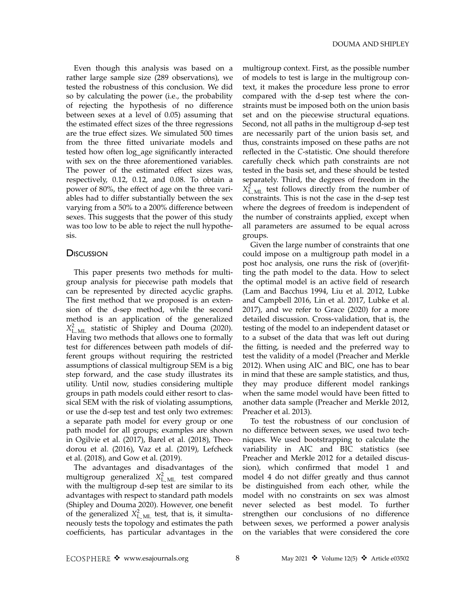Even though this analysis was based on a rather large sample size (289 observations), we tested the robustness of this conclusion. We did so by calculating the power (i.e., the probability of rejecting the hypothesis of no difference between sexes at a level of 0.05) assuming that the estimated effect sizes of the three regressions are the true effect sizes. We simulated 500 times from the three fitted univariate models and tested how often log\_age significantly interacted with sex on the three aforementioned variables. The power of the estimated effect sizes was, respectively, 0.12, 0.12, and 0.08. To obtain a power of 80%, the effect of age on the three variables had to differ substantially between the sex varying from a 50% to a 200% difference between sexes. This suggests that the power of this study was too low to be able to reject the null hypothesis.

#### **DISCUSSION**

This paper presents two methods for multigroup analysis for piecewise path models that can be represented by directed acyclic graphs. The first method that we proposed is an extension of the d-sep method, while the second method is an application of the generalized  $X_{\text{L} \text{ ML}}^2$  statistic of Shipley and Douma (2020). Having two methods that allows one to formally test for differences between path models of different groups without requiring the restricted assumptions of classical multigroup SEM is a big step forward, and the case study illustrates its utility. Until now, studies considering multiple groups in path models could either resort to classical SEM with the risk of violating assumptions, or use the d-sep test and test only two extremes: a separate path model for every group or one path model for all groups; examples are shown in Ogilvie et al. (2017), Barel et al. (2018), Theodorou et al. (2016), Vaz et al. (2019), Lefcheck et al. (2018), and Gow et al. (2019).

The advantages and disadvantages of the multigroup generalized  $X_{\text{LML}}^2$  test compared with the multigroup d-sep test are similar to its advantages with respect to standard path models (Shipley and Douma 2020). However, one benefit of the generalized  $X_{\text{L} \text{ ML}}^2$  test, that is, it simultaneously tests the topology and estimates the path coefficients, has particular advantages in the multigroup context. First, as the possible number of models to test is large in the multigroup context, it makes the procedure less prone to error compared with the d-sep test where the constraints must be imposed both on the union basis set and on the piecewise structural equations. Second, not all paths in the multigroup d-sep test are necessarily part of the union basis set, and thus, constraints imposed on these paths are not reflected in the C-statistic. One should therefore carefully check which path constraints are not tested in the basis set, and these should be tested separately. Third, the degrees of freedom in the  $X_{\text{L}}^2$ <sub>ML</sub> test follows directly from the number of constraints. This is not the case in the d-sep test where the degrees of freedom is independent of the number of constraints applied, except when all parameters are assumed to be equal across groups.

Given the large number of constraints that one could impose on a multigroup path model in a post hoc analysis, one runs the risk of (over)fitting the path model to the data. How to select the optimal model is an active field of research (Lam and Bacchus 1994, Liu et al. 2012, Lubke and Campbell 2016, Lin et al. 2017, Lubke et al. 2017), and we refer to Grace (2020) for a more detailed discussion. Cross-validation, that is, the testing of the model to an independent dataset or to a subset of the data that was left out during the fitting, is needed and the preferred way to test the validity of a model (Preacher and Merkle 2012). When using AIC and BIC, one has to bear in mind that these are sample statistics, and thus, they may produce different model rankings when the same model would have been fitted to another data sample (Preacher and Merkle 2012, Preacher et al. 2013).

To test the robustness of our conclusion of no difference between sexes, we used two techniques. We used bootstrapping to calculate the variability in AIC and BIC statistics (see Preacher and Merkle 2012 for a detailed discussion), which confirmed that model 1 and model 4 do not differ greatly and thus cannot be distinguished from each other, while the model with no constraints on sex was almost never selected as best model. To further strengthen our conclusions of no difference between sexes, we performed a power analysis on the variables that were considered the core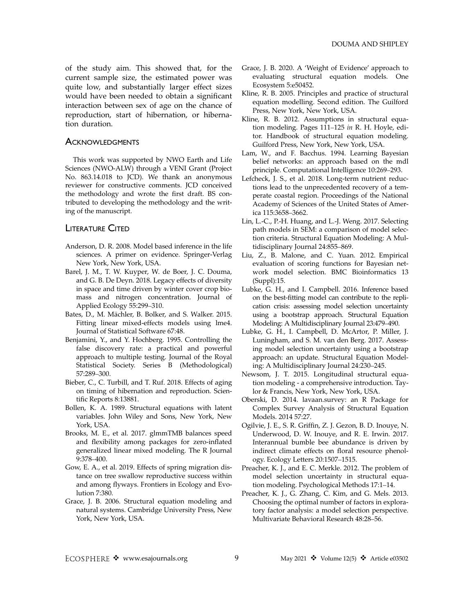of the study aim. This showed that, for the current sample size, the estimated power was quite low, and substantially larger effect sizes would have been needed to obtain a significant interaction between sex of age on the chance of reproduction, start of hibernation, or hibernation duration.

#### **ACKNOWLEDGMENTS**

This work was supported by NWO Earth and Life Sciences (NWO-ALW) through a VENI Grant (Project No. 863.14.018 to JCD). We thank an anonymous reviewer for constructive comments. JCD conceived the methodology and wrote the first draft. BS contributed to developing the methodology and the writing of the manuscript.

#### **LITERATURE CITED**

- Anderson, D. R. 2008. Model based inference in the life sciences. A primer on evidence. Springer-Verlag New York, New York, USA.
- Barel, J. M., T. W. Kuyper, W. de Boer, J. C. Douma, and G. B. De Deyn. 2018. Legacy effects of diversity in space and time driven by winter cover crop biomass and nitrogen concentration. Journal of Applied Ecology 55:299–310.
- Bates, D., M. Mächler, B. Bolker, and S. Walker. 2015. Fitting linear mixed-effects models using lme4. Journal of Statistical Software 67:48.
- Benjamini, Y., and Y. Hochberg. 1995. Controlling the false discovery rate: a practical and powerful approach to multiple testing. Journal of the Royal Statistical Society. Series B (Methodological) 57:289–300.
- Bieber, C., C. Turbill, and T. Ruf. 2018. Effects of aging on timing of hibernation and reproduction. Scientific Reports 8:13881.
- Bollen, K. A. 1989. Structural equations with latent variables. John Wiley and Sons, New York, New York, USA.
- Brooks, M. E., et al. 2017. glmmTMB balances speed and flexibility among packages for zero-inflated generalized linear mixed modeling. The R Journal 9:378–400.
- Gow, E. A., et al. 2019. Effects of spring migration distance on tree swallow reproductive success within and among flyways. Frontiers in Ecology and Evolution 7:380.
- Grace, J. B. 2006. Structural equation modeling and natural systems. Cambridge University Press, New York, New York, USA.
- Grace, J. B. 2020. A 'Weight of Evidence' approach to evaluating structural equation models. One Ecosystem 5:e50452.
- Kline, R. B. 2005. Principles and practice of structural equation modelling. Second edition. The Guilford Press, New York, New York, USA.
- Kline, R. B. 2012. Assumptions in structural equation modeling. Pages 111–125 in R. H. Hoyle, editor. Handbook of structural equation modeling. Guilford Press, New York, New York, USA.
- Lam, W., and F. Bacchus. 1994. Learning Bayesian belief networks: an approach based on the mdl principle. Computational Intelligence 10:269–293.
- Lefcheck, J. S., et al. 2018. Long-term nutrient reductions lead to the unprecedented recovery of a temperate coastal region. Proceedings of the National Academy of Sciences of the United States of America 115:3658–3662.
- Lin, L.-C., P.-H. Huang, and L.-J. Weng. 2017. Selecting path models in SEM: a comparison of model selection criteria. Structural Equation Modeling: A Multidisciplinary Journal 24:855–869.
- Liu, Z., B. Malone, and C. Yuan. 2012. Empirical evaluation of scoring functions for Bayesian network model selection. BMC Bioinformatics 13 (Suppl):15.
- Lubke, G. H., and I. Campbell. 2016. Inference based on the best-fitting model can contribute to the replication crisis: assessing model selection uncertainty using a bootstrap approach. Structural Equation Modeling: A Multidisciplinary Journal 23:479–490.
- Lubke, G. H., I. Campbell, D. McArtor, P. Miller, J. Luningham, and S. M. van den Berg. 2017. Assessing model selection uncertainty using a bootstrap approach: an update. Structural Equation Modeling: A Multidisciplinary Journal 24:230–245.
- Newsom, J. T. 2015. Longitudinal structural equation modeling - a comprehensive introduction. Taylor & Francis, New York, New York, USA.
- Oberski, D. 2014. lavaan.survey: an R Package for Complex Survey Analysis of Structural Equation Models. 2014 57:27.
- Ogilvie, J. E., S. R. Griffin, Z. J. Gezon, B. D. Inouye, N. Underwood, D. W. Inouye, and R. E. Irwin. 2017. Interannual bumble bee abundance is driven by indirect climate effects on floral resource phenology. Ecology Letters 20:1507–1515.
- Preacher, K. J., and E. C. Merkle. 2012. The problem of model selection uncertainty in structural equation modeling. Psychological Methods 17:1–14.
- Preacher, K. J., G. Zhang, C. Kim, and G. Mels. 2013. Choosing the optimal number of factors in exploratory factor analysis: a model selection perspective. Multivariate Behavioral Research 48:28–56.